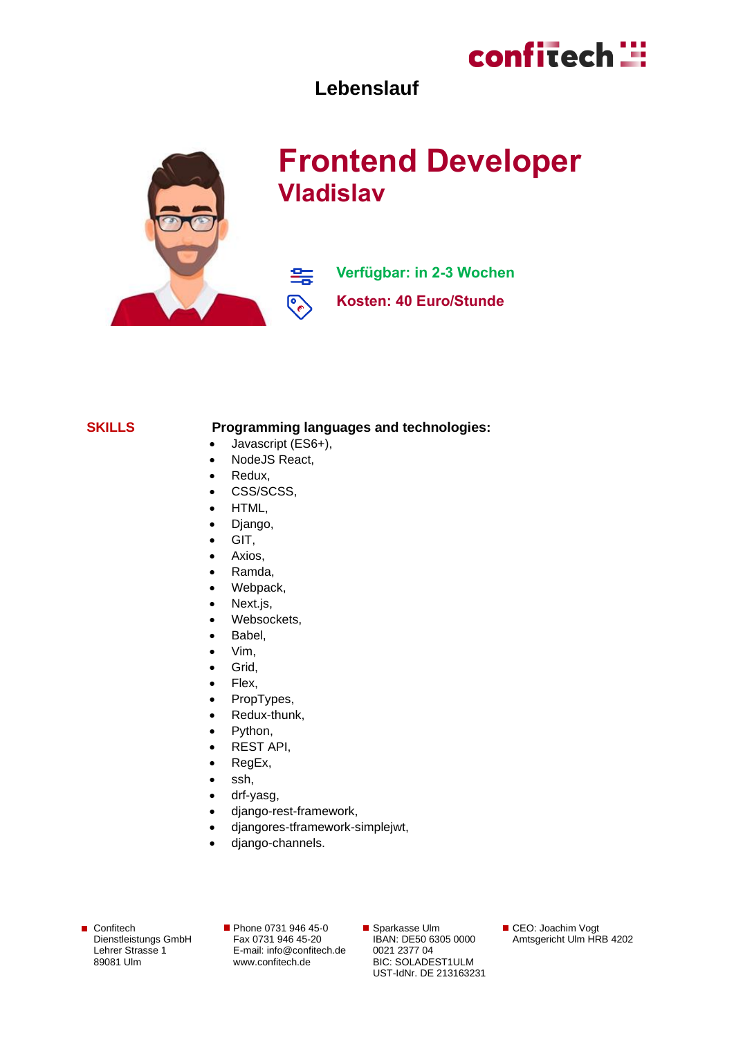

### **Lebenslauf**



### **Frontend Developer Vladislav**

**Verfügbar: in 2-3 Wochen**

**Kosten: 40 Euro/Stunde**

#### **SKILLS Programming languages and technologies:**

• Javascript (ES6+),

雲

્રિ

- NodeJS React,
- Redux,
- CSS/SCSS,
- HTML,
- Django,
- GIT,
- Axios,
- Ramda,
- Webpack,
- Next.js,
- Websockets,
- Babel,
- Vim,
- Grid,
- Flex,
- PropTypes,
- Redux-thunk,
- Python,
- REST API,
- RegEx,
- ssh,
- drf-yasg,
- django-rest-framework,
- djangores-tframework-simplejwt,
- django-channels.

■ Confitech Dienstleistungs GmbH Lehrer Strasse 1 89081 Ulm

Phone 0731 946 45-0 Fax 0731 946 45-20 E-mail[: info@confitech.de](mailto:info@confitech.de) www.confitech.de

■ Sparkasse Ulm IBAN: DE50 6305 0000 0021 2377 04 BIC: SOLADEST1ULM UST-IdNr. DE 213163231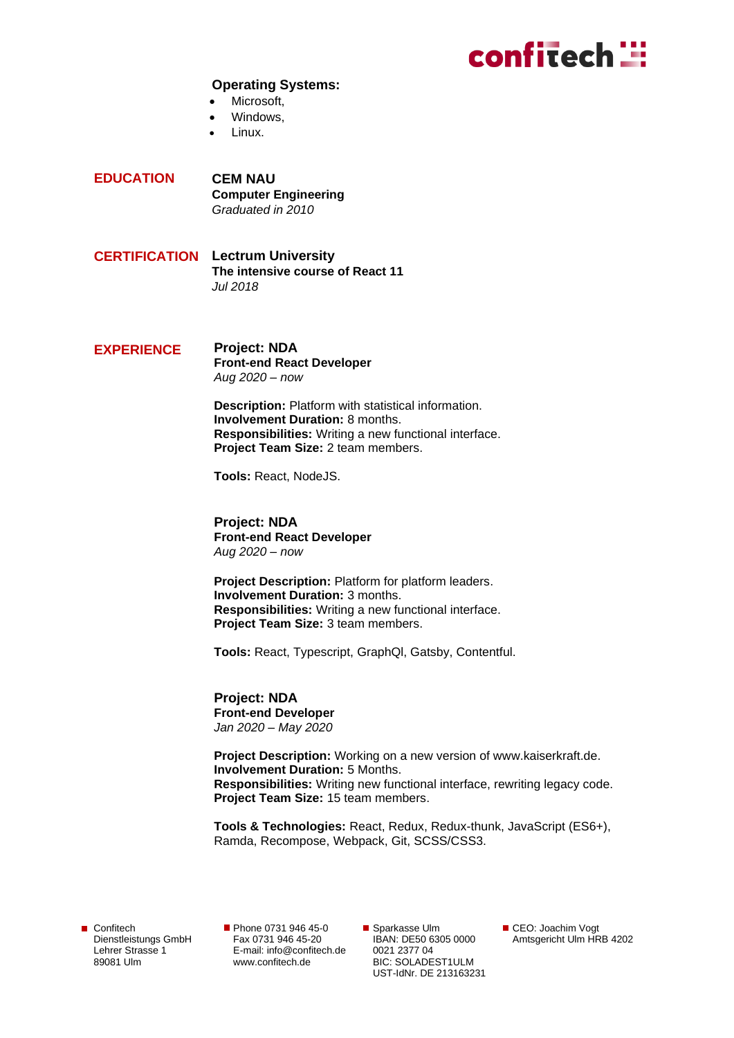### confitech ::

#### **Operating Systems:**

- Microsoft.
- Windows.
- Linux.

**EDUCATION CEM NAU Computer Engineering** *Graduated in 2010*

- **CERTIFICATION Lectrum University The intensive course of React 11** *Jul 2018*
- **EXPERIENCE Project: NDA Front-end React Developer** *Aug 2020 – now*

**Description:** Platform with statistical information. **Involvement Duration:** 8 months. **Responsibilities:** Writing a new functional interface. **Project Team Size:** 2 team members.

**Tools:** React, NodeJS.

**Project: NDA Front-end React Developer** *Aug 2020 – now* 

**Project Description:** Platform for platform leaders. **Involvement Duration:** 3 months. **Responsibilities:** Writing a new functional interface. **Project Team Size:** 3 team members.

**Tools:** React, Typescript, GraphQl, Gatsby, Contentful.

**Project: NDA Front-end Developer** *Jan 2020 – May 2020*

**Project Description:** Working on a new version of www.kaiserkraft.de. **Involvement Duration:** 5 Months. **Responsibilities:** Writing new functional interface, rewriting legacy code. **Project Team Size:** 15 team members.

**Tools & Technologies:** React, Redux, Redux-thunk, JavaScript (ES6+), Ramda, Recompose, Webpack, Git, SCSS/CSS3.

Confitech Dienstleistungs GmbH Lehrer Strasse 1 89081 Ulm

Phone 0731 946 45-0 Fax 0731 946 45-20 E-mail[: info@confitech.de](mailto:info@confitech.de) www.confitech.de

■ Sparkasse Ulm IBAN: DE50 6305 0000 0021 2377 04 BIC: SOLADEST1ULM UST-IdNr. DE 213163231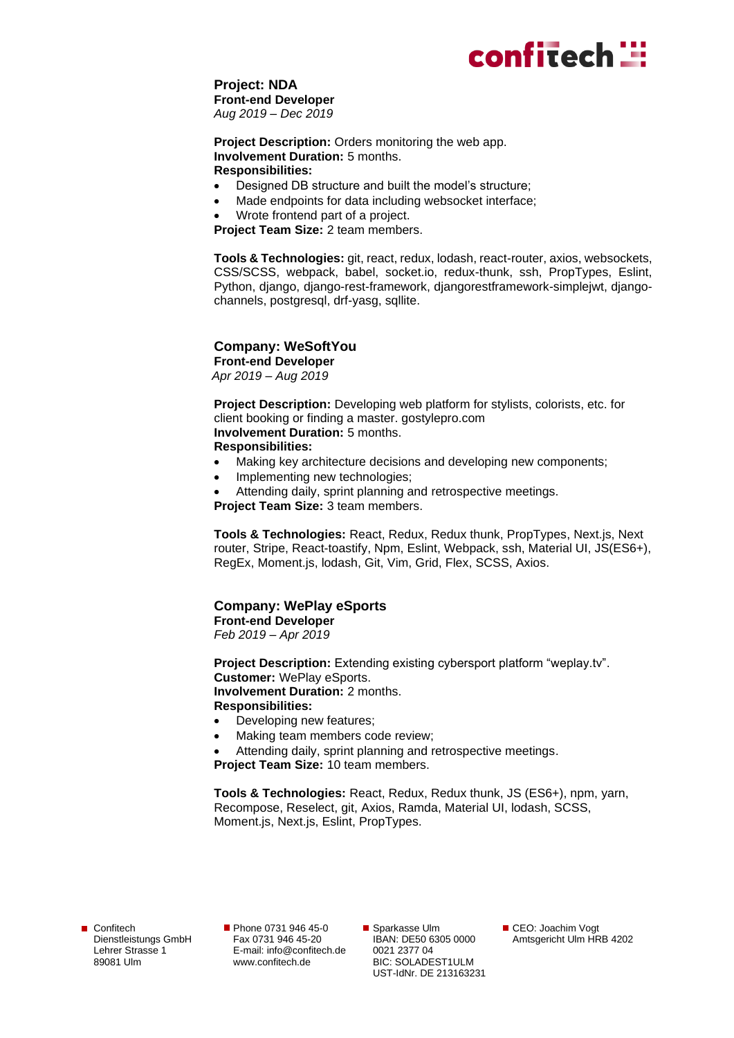## confitech **:::**

#### **Project: NDA Front-end Developer** *Aug 2019 – Dec 2019*

**Project Description:** Orders monitoring the web app. **Involvement Duration:** 5 months. **Responsibilities:**

- Designed DB structure and built the model's structure;
- Made endpoints for data including websocket interface;
- Wrote frontend part of a project.

**Project Team Size:** 2 team members.

**Tools & Technologies:** git, react, redux, lodash, react-router, axios, websockets, CSS/SCSS, webpack, babel, socket.io, redux-thunk, ssh, PropTypes, Eslint, Python, django, django-rest-framework, djangorestframework-simplejwt, djangochannels, postgresql, drf-yasg, sqllite.

#### **Company: WeSoftYou**

**Front-end Developer** *Apr 2019 – Aug 2019* 

**Project Description:** Developing web platform for stylists, colorists, etc. for client booking or finding a master. gostylepro.com **Involvement Duration:** 5 months.

#### **Responsibilities:**

- Making key architecture decisions and developing new components;
- Implementing new technologies;
- Attending daily, sprint planning and retrospective meetings.

**Project Team Size:** 3 team members.

**Tools & Technologies:** React, Redux, Redux thunk, PropTypes, Next.js, Next router, Stripe, React-toastify, Npm, Eslint, Webpack, ssh, Material UI, JS(ES6+), RegEx, Moment.js, lodash, Git, Vim, Grid, Flex, SCSS, Axios.

#### **Company: WePlay eSports**

**Front-end Developer** *Feb 2019 – Apr 2019*

**Project Description:** Extending existing cybersport platform "weplay.tv". **Customer:** WePlay eSports. **Involvement Duration:** 2 months. **Responsibilities:**

- Developing new features;
- Making team members code review;
- Attending daily, sprint planning and retrospective meetings.

**Project Team Size:** 10 team members.

**Tools & Technologies:** React, Redux, Redux thunk, JS (ES6+), npm, yarn, Recompose, Reselect, git, Axios, Ramda, Material UI, lodash, SCSS, Moment.js, Next.js, Eslint, PropTypes.

Confitech Dienstleistungs GmbH Lehrer Strasse 1 89081 Ulm

Phone 0731 946 45-0 Fax 0731 946 45-20 E-mail[: info@confitech.de](mailto:info@confitech.de) www.confitech.de

■ Sparkasse Ulm IBAN: DE50 6305 0000 0021 2377 04 BIC: SOLADEST1ULM UST-IdNr. DE 213163231